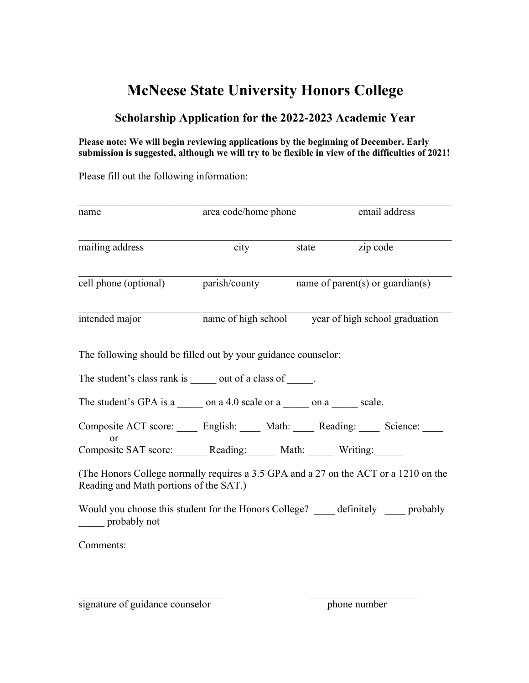## **McNeese State University Honors College**

## **Scholarship Application for the 2022-2023 Academic Year**

## **Please note: We will begin reviewing applications by the beginning of December. Early submission is suggested, although we will try to be flexible in view of the difficulties of 2021!**

Please fill out the following information:

| name                                                                                           | area code/home phone |                                                    | email address                                                                        |
|------------------------------------------------------------------------------------------------|----------------------|----------------------------------------------------|--------------------------------------------------------------------------------------|
| mailing address                                                                                | city                 | state                                              | zip code                                                                             |
| cell phone (optional) parish/county name of parent(s) or guardian(s)                           |                      |                                                    |                                                                                      |
| intended major                                                                                 |                      | name of high school year of high school graduation |                                                                                      |
| The following should be filled out by your guidance counselor:                                 |                      |                                                    |                                                                                      |
| The student's class rank is ______ out of a class of _____.                                    |                      |                                                    |                                                                                      |
| The student's GPA is a ______ on a 4.0 scale or a ______ on a _____ scale.                     |                      |                                                    |                                                                                      |
| Composite ACT score: _____ English: _____ Math: _____ Reading: _____ Science: ___<br><b>or</b> |                      |                                                    |                                                                                      |
| Composite SAT score: _______ Reading: ______ Math: _____ Writing: _____                        |                      |                                                    |                                                                                      |
| Reading and Math portions of the SAT.)                                                         |                      |                                                    | (The Honors College normally requires a 3.5 GPA and a 27 on the ACT or a 1210 on the |
| probably not                                                                                   |                      |                                                    | Would you choose this student for the Honors College? definitely probably            |
| Comments:                                                                                      |                      |                                                    |                                                                                      |
|                                                                                                |                      |                                                    |                                                                                      |

signature of guidance counselor phone number